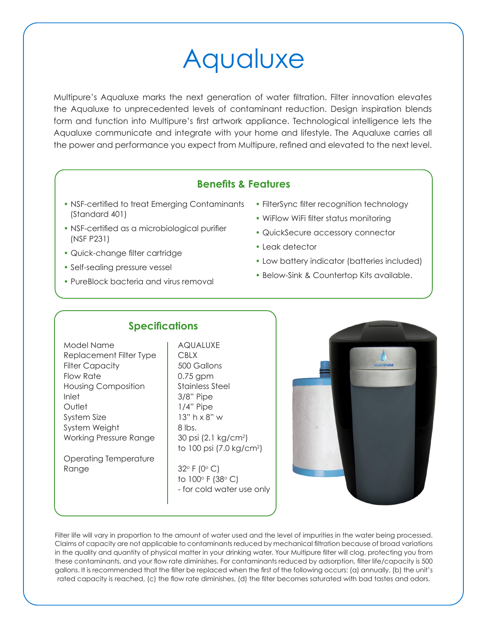## Aqualuxe

Multipure's Aqualuxe marks the next generation of water filtration. Filter innovation elevates the Aqualuxe to unprecedented levels of contaminant reduction. Design inspiration blends form and function into Multipure's first artwork appliance. Technological intelligence lets the Aqualuxe communicate and integrate with your home and lifestyle. The Aqualuxe carries all the power and performance you expect from Multipure, refined and elevated to the next level.

## **Benefits & Features**

- NSF-certified to treat Emerging Contaminants (Standard 401)
- NSF-certified as a microbiological purifier (NSF P231)
- Quick-change filter cartridge
- Self-sealing pressure vessel
- PureBlock bacteria and virus removal
- FilterSync filter recognition technology
- WiFlow WiFi filter status monitoring
- QuickSecure accessory connector
- Leak detector
- Low battery indicator (batteries included)
- Below-Sink & Countertop Kits available.

## **Specifications**

Model Name | AQUALUXE Replacement Filter Type | CBLX Filter Capacity **500 Gallons** Flow Rate  $\vert$  0.75 gpm Housing Composition | Stainless Steel Inlet 3/8" Pipe Outlet 1/4" Pipe System Size  $\vert$  13" h x 8" w System Weight | 8 lbs. Working Pressure Range

Operating Temperature Range  $32^\circ \text{F} (0^\circ \text{C})$ 

30 psi (2.1 kg/cm<sup>2</sup>) to 100 psi (7.0 kg/cm2 )

> to  $100^\circ$  F (38 $^\circ$  C) - for cold water use only



Filter life will vary in proportion to the amount of water used and the level of impurities in the water being processed. Claims of capacity are not applicable to contaminants reduced by mechanical filtration because of broad variations in the quality and quantity of physical matter in your drinking water. Your Multipure filter will clog, protecting you from these contaminants, and your flow rate diminishes. For contaminants reduced by adsorption, filter life/capacity is 500 gallons. It is recommended that the filter be replaced when the first of the following occurs: (a) annually, (b) the unit's rated capacity is reached, (c) the flow rate diminishes, (d) the filter becomes saturated with bad tastes and odors.